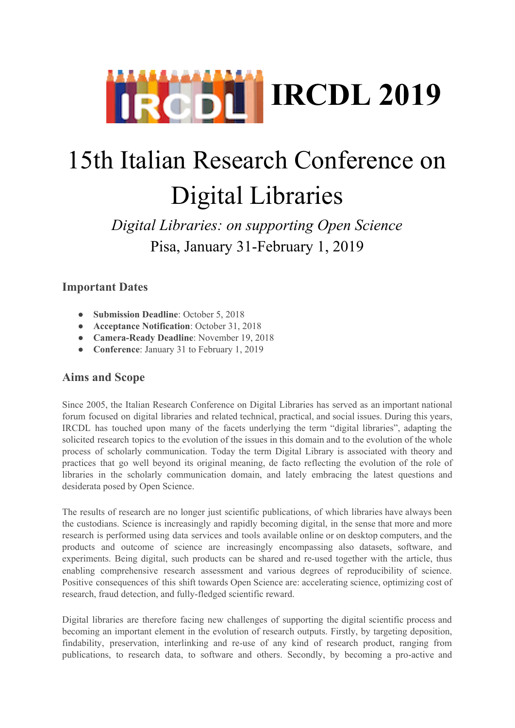

# 15th Italian Research Conference on Digital Libraries

*Digital Libraries: on supporting Open Science* Pisa, January 31-February 1, 2019

### **Important Dates**

- **Submission Deadline**: October 5, 2018
- **Acceptance Notification**: October 31, 2018
- **Camera-Ready Deadline**: November 19, 2018
- **Conference**: January 31 to February 1, 2019

#### **Aims and Scope**

Since 2005, the Italian Research Conference on Digital Libraries has served as an important national forum focused on digital libraries and related technical, practical, and social issues. During this years, IRCDL has touched upon many of the facets underlying the term "digital libraries", adapting the solicited research topics to the evolution of the issues in this domain and to the evolution of the whole process of scholarly communication. Today the term Digital Library is associated with theory and practices that go well beyond its original meaning, de facto reflecting the evolution of the role of libraries in the scholarly communication domain, and lately embracing the latest questions and desiderata posed by Open Science.

The results of research are no longer just scientific publications, of which libraries have always been the custodians. Science is increasingly and rapidly becoming digital, in the sense that more and more research is performed using data services and tools available online or on desktop computers, and the products and outcome of science are increasingly encompassing also datasets, software, and experiments. Being digital, such products can be shared and re-used together with the article, thus enabling comprehensive research assessment and various degrees of reproducibility of science. Positive consequences of this shift towards Open Science are: accelerating science, optimizing cost of research, fraud detection, and fully-fledged scientific reward.

Digital libraries are therefore facing new challenges of supporting the digital scientific process and becoming an important element in the evolution of research outputs. Firstly, by targeting deposition, findability, preservation, interlinking and re-use of any kind of research product, ranging from publications, to research data, to software and others. Secondly, by becoming a pro-active and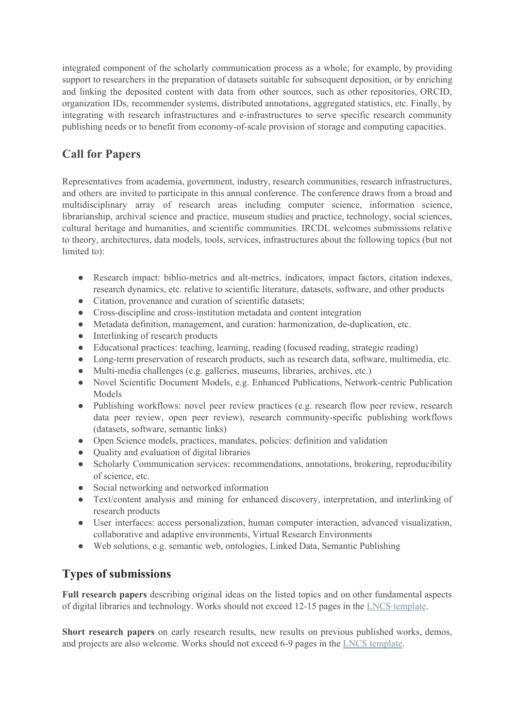integrated component of the scholarly communication process as a whole; for example, by providing support to researchers in the preparation of datasets suitable for subsequent deposition, or by enriching and linking the deposited content with data from other sources, such as other repositories, ORCID, organization IDs, recommender systems, distributed annotations, aggregated statistics, etc. Finally, by integrating with research infrastructures and e-infrastructures to serve specific research community publishing needs or to benefit from economy-of-scale provision of storage and computing capacities.

## **Call for Papers**

Representatives from academia, government, industry, research communities, research infrastructures, and others are invited to participate in this annual conference. The conference draws from a broad and multidisciplinary array of research areas including computer science, information science, librarianship, archival science and practice, museum studies and practice, technology, social sciences, cultural heritage and humanities, and scientific communities. IRCDL welcomes submissions relative to theory, architectures, data models, tools, services, infrastructures about the following topics (but not limited to):

- Research impact: biblio-metrics and alt-metrics, indicators, impact factors, citation indexes, research dynamics, etc. relative to scientific literature, datasets, software, and other products
- Citation, provenance and curation of scientific datasets;
- Cross-discipline and cross-institution metadata and content integration
- Metadata definition, management, and curation: harmonization, de-duplication, etc.
- Interlinking of research products
- Educational practices: teaching, learning, reading (focused reading, strategic reading)
- Long-term preservation of research products, such as research data, software, multimedia, etc.
- Multi-media challenges (e.g. galleries, museums, libraries, archives, etc.)
- Novel Scientific Document Models, e.g. Enhanced Publications, Network-centric Publication Models
- Publishing workflows: novel peer review practices (e.g. research flow peer review, research data peer review, open peer review), research community-specific publishing workflows (datasets, software, semantic links)
- Open Science models, practices, mandates, policies: definition and validation
- Quality and evaluation of digital libraries
- Scholarly Communication services: recommendations, annotations, brokering, reproducibility of science, etc.
- Social networking and networked information
- Text/content analysis and mining for enhanced discovery, interpretation, and interlinking of research products
- User interfaces: access personalization, human computer interaction, advanced visualization, collaborative and adaptive environments, Virtual Research Environments
- Web solutions, e.g. semantic web, ontologies, Linked Data, Semantic Publishing

#### **Types of submissions**

**Full research papers** describing original ideas on the listed topics and on other fundamental aspects of digital libraries and technology. Works should not exceed 12-15 pages in the LNCS [template](http://www.springer.com/gp/computer-science/lncs/conference-proceedings-guidelines).

**Short research papers** on early research results, new results on previous published works, demos, and projects are also welcome. Works should not exceed 6-9 pages in the LNCS [template.](http://www.springer.com/gp/computer-science/lncs/conference-proceedings-guidelines)